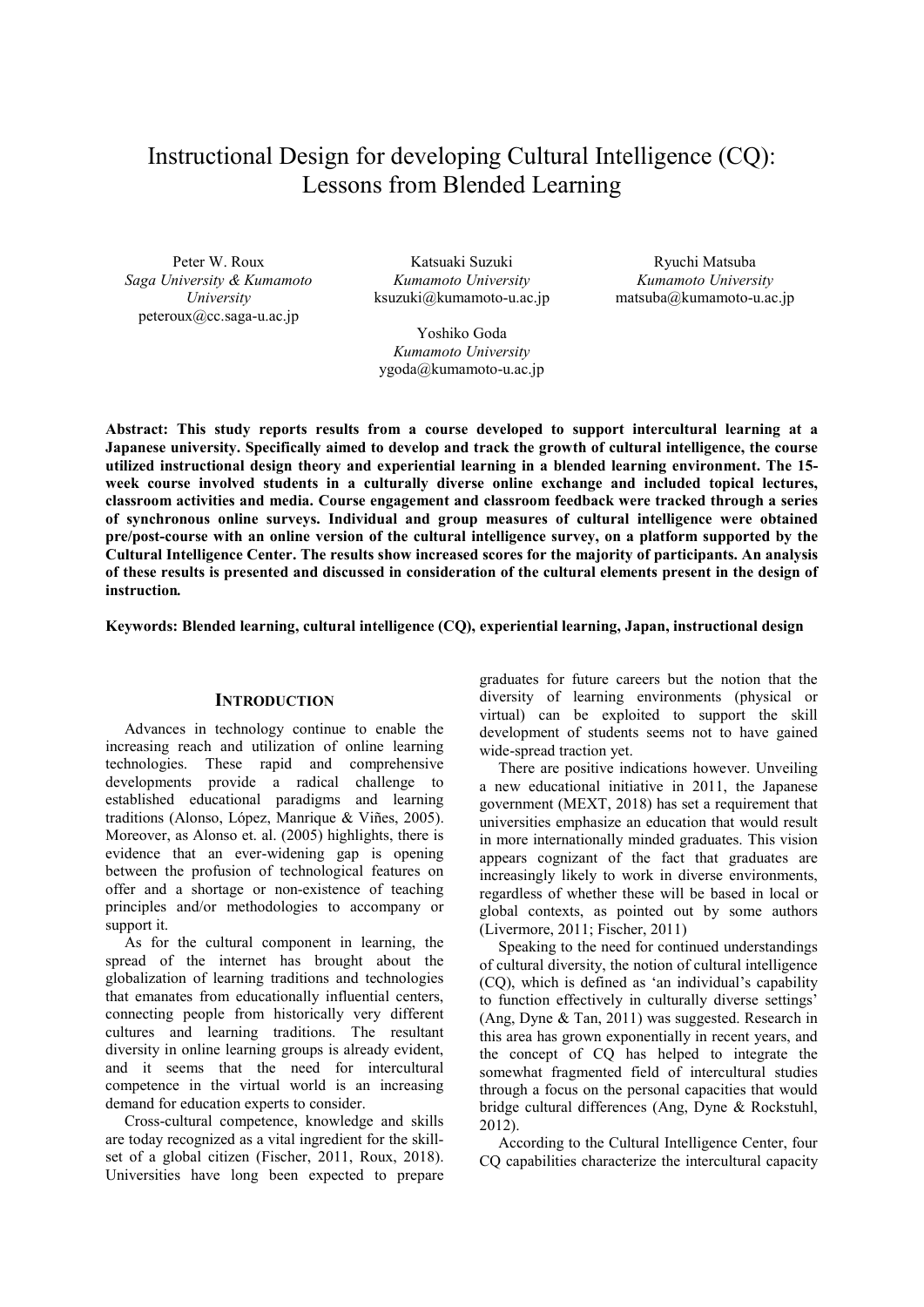# Instructional Design for developing Cultural Intelligence (CQ): Lessons from Blended Learning

Peter W. Roux *Saga University & Kumamoto University* peteroux@cc.saga-u.ac.jp

Katsuaki Suzuki *Kumamoto University* ksuzuki@kumamoto-u.ac.jp

 Yoshiko Goda *Kumamoto University*  ygoda@kumamoto-u.ac.jp

Ryuchi Matsuba *Kumamoto University* matsuba@kumamoto-u.ac.jp

**Abstract: This study reports results from a course developed to support intercultural learning at a Japanese university. Specifically aimed to develop and track the growth of cultural intelligence, the course utilized instructional design theory and experiential learning in a blended learning environment. The 15 week course involved students in a culturally diverse online exchange and included topical lectures, classroom activities and media. Course engagement and classroom feedback were tracked through a series of synchronous online surveys. Individual and group measures of cultural intelligence were obtained pre/post-course with an online version of the cultural intelligence survey, on a platform supported by the Cultural Intelligence Center. The results show increased scores for the majority of participants. An analysis of these results is presented and discussed in consideration of the cultural elements present in the design of instruction***.*

**Keywords: Blended learning, cultural intelligence (CQ), experiential learning, Japan, instructional design** 

#### **INTRODUCTION**

Advances in technology continue to enable the increasing reach and utilization of online learning technologies. These rapid and comprehensive developments provide a radical challenge to established educational paradigms and learning traditions (Alonso, López, Manrique & Viñes, 2005). Moreover, as Alonso et. al. (2005) highlights, there is evidence that an ever-widening gap is opening between the profusion of technological features on offer and a shortage or non-existence of teaching principles and/or methodologies to accompany or support it.

As for the cultural component in learning, the spread of the internet has brought about the globalization of learning traditions and technologies that emanates from educationally influential centers, connecting people from historically very different cultures and learning traditions. The resultant diversity in online learning groups is already evident, and it seems that the need for intercultural competence in the virtual world is an increasing demand for education experts to consider.

Cross-cultural competence, knowledge and skills are today recognized as a vital ingredient for the skillset of a global citizen (Fischer, 2011, Roux, 2018). Universities have long been expected to prepare

graduates for future careers but the notion that the diversity of learning environments (physical or virtual) can be exploited to support the skill development of students seems not to have gained wide-spread traction yet.

There are positive indications however. Unveiling a new educational initiative in 2011, the Japanese government (MEXT, 2018) has set a requirement that universities emphasize an education that would result in more internationally minded graduates. This vision appears cognizant of the fact that graduates are increasingly likely to work in diverse environments, regardless of whether these will be based in local or global contexts, as pointed out by some authors (Livermore, 2011; Fischer, 2011)

Speaking to the need for continued understandings of cultural diversity, the notion of cultural intelligence (CQ), which is defined as 'an individual's capability to function effectively in culturally diverse settings' (Ang, Dyne & Tan, 2011) was suggested. Research in this area has grown exponentially in recent years, and the concept of CQ has helped to integrate the somewhat fragmented field of intercultural studies through a focus on the personal capacities that would bridge cultural differences (Ang, Dyne & Rockstuhl, 2012).

According to the Cultural Intelligence Center, four CQ capabilities characterize the intercultural capacity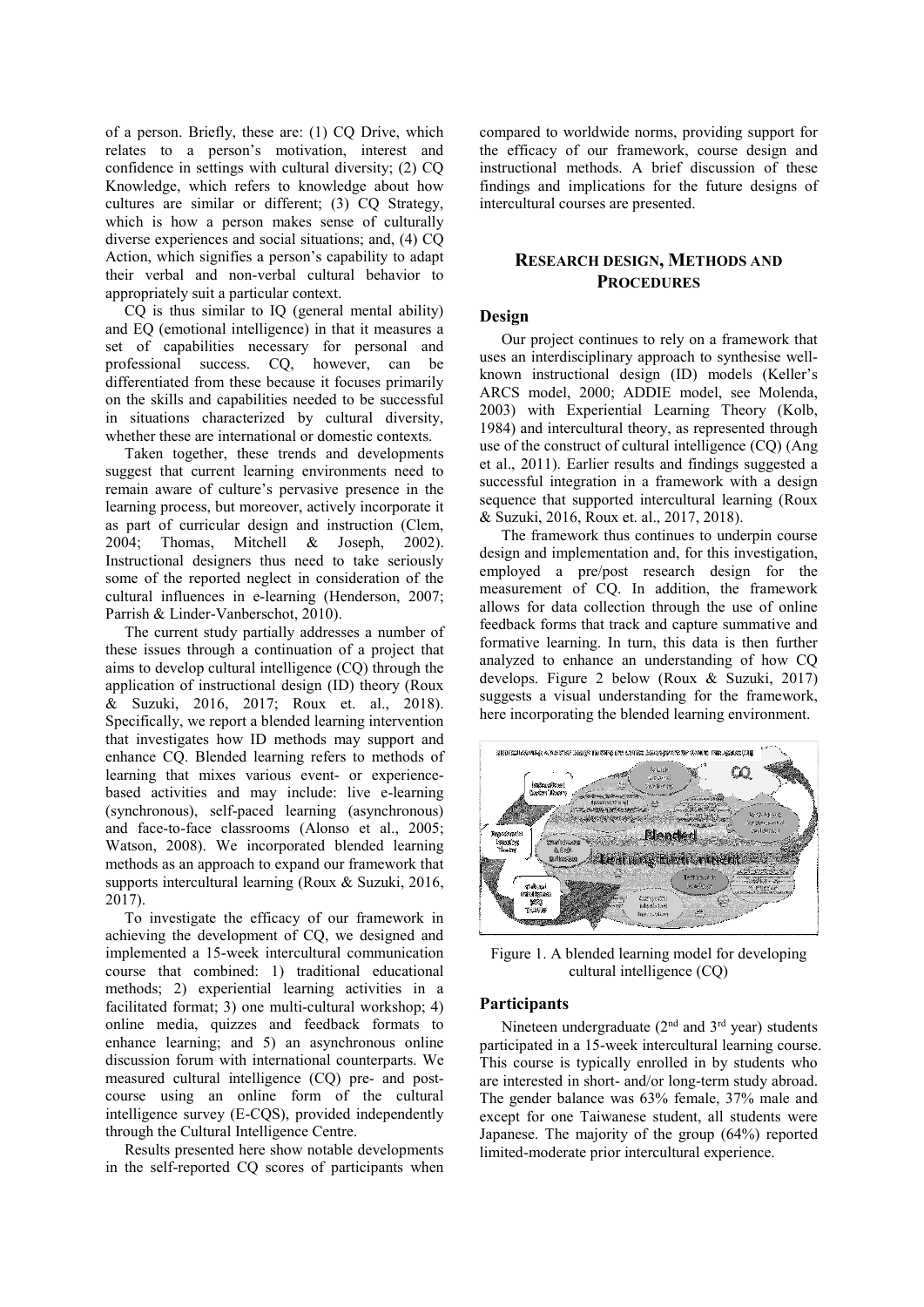of a person. Briefly, these are: (1) CQ Drive, which relates to a person's motivation, interest and confidence in settings with cultural diversity; (2) CQ Knowledge, which refers to knowledge about how cultures are similar or different; (3) CQ Strategy, which is how a person makes sense of culturally diverse experiences and social situations; and, (4) CQ Action, which signifies a person's capability to adapt their verbal and non-verbal cultural behavior to appropriately suit a particular context.

CQ is thus similar to IQ (general mental ability) and EQ (emotional intelligence) in that it measures a set of capabilities necessary for personal and professional success. CQ, however, can be differentiated from these because it focuses primarily on the skills and capabilities needed to be successful in situations characterized by cultural diversity, whether these are international or domestic contexts.

Taken together, these trends and developments suggest that current learning environments need to remain aware of culture's pervasive presence in the learning process, but moreover, actively incorporate it as part of curricular design and instruction (Clem, 2004; Thomas, Mitchell & Joseph, 2002). Instructional designers thus need to take seriously some of the reported neglect in consideration of the cultural influences in e-learning (Henderson, 2007; Parrish & Linder-Vanberschot, 2010).

The current study partially addresses a number of these issues through a continuation of a project that aims to develop cultural intelligence (CQ) through the application of instructional design (ID) theory (Roux & Suzuki, 2016, 2017; Roux et. al., 2018). Specifically, we report a blended learning intervention that investigates how ID methods may support and enhance CQ. Blended learning refers to methods of learning that mixes various event- or experiencebased activities and may include: live e-learning (synchronous), self-paced learning (asynchronous) and face-to-face classrooms (Alonso et al., 2005; Watson, 2008). We incorporated blended learning methods as an approach to expand our framework that supports intercultural learning (Roux & Suzuki, 2016, 2017).

To investigate the efficacy of our framework in achieving the development of CQ, we designed and implemented a 15-week intercultural communication course that combined: 1) traditional educational methods; 2) experiential learning activities in a facilitated format; 3) one multi-cultural workshop; 4) online media, quizzes and feedback formats to enhance learning; and 5) an asynchronous online discussion forum with international counterparts. We measured cultural intelligence (CQ) pre- and postcourse using an online form of the cultural intelligence survey (E-CQS), provided independently through the Cultural Intelligence Centre.

Results presented here show notable developments in the self-reported CQ scores of participants when compared to worldwide norms, providing support for the efficacy of our framework, course design and instructional methods. A brief discussion of these findings and implications for the future designs of intercultural courses are presented.

# **RESEARCH DESIGN, METHODS AND PROCEDURES**

# **Design**

Our project continues to rely on a framework that uses an interdisciplinary approach to synthesise wellknown instructional design (ID) models (Keller's ARCS model, 2000; ADDIE model, see Molenda, 2003) with Experiential Learning Theory (Kolb, 1984) and intercultural theory, as represented through use of the construct of cultural intelligence (CQ) (Ang et al., 2011). Earlier results and findings suggested a successful integration in a framework with a design sequence that supported intercultural learning (Roux & Suzuki, 2016, Roux et. al., 2017, 2018).

The framework thus continues to underpin course design and implementation and, for this investigation, employed a pre/post research design for the measurement of CQ. In addition, the framework allows for data collection through the use of online feedback forms that track and capture summative and formative learning. In turn, this data is then further analyzed to enhance an understanding of how CQ develops. Figure 2 below (Roux & Suzuki, 2017) suggests a visual understanding for the framework, here incorporating the blended learning environment.



Figure 1. A blended learning model for developing cultural intelligence (CQ)

## **Participants**

Nineteen undergraduate  $(2<sup>nd</sup>$  and  $3<sup>rd</sup>$  year) students participated in a 15-week intercultural learning course. This course is typically enrolled in by students who are interested in short- and/or long-term study abroad. The gender balance was 63% female, 37% male and except for one Taiwanese student, all students were Japanese. The majority of the group (64%) reported limited-moderate prior intercultural experience.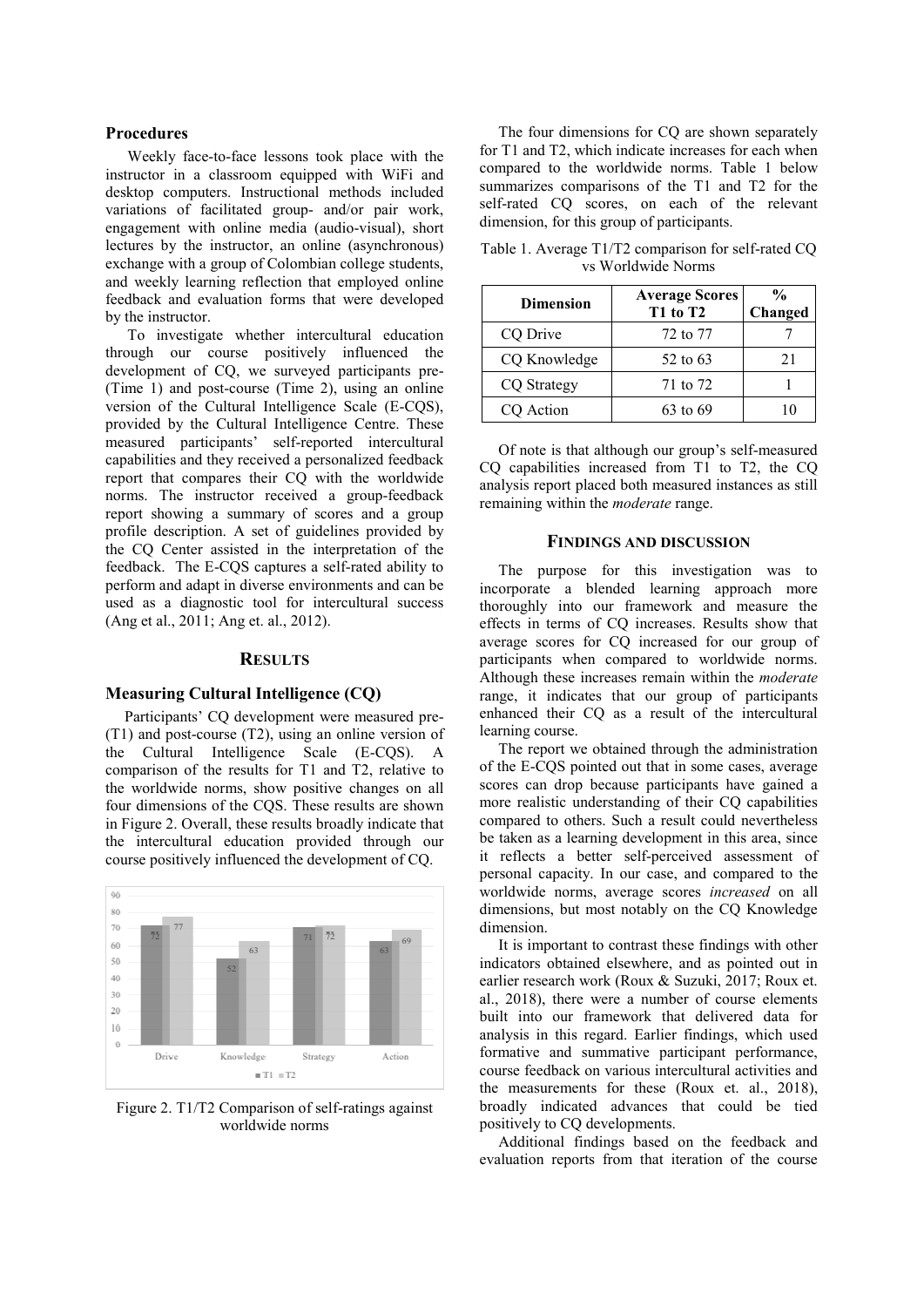#### **Procedures**

Weekly face-to-face lessons took place with the instructor in a classroom equipped with WiFi and desktop computers. Instructional methods included variations of facilitated group- and/or pair work, engagement with online media (audio-visual), short lectures by the instructor, an online (asynchronous) exchange with a group of Colombian college students, and weekly learning reflection that employed online feedback and evaluation forms that were developed by the instructor.

To investigate whether intercultural education through our course positively influenced the development of CQ, we surveyed participants pre- (Time 1) and post-course (Time 2), using an online version of the Cultural Intelligence Scale (E-CQS), provided by the Cultural Intelligence Centre. These measured participants' self-reported intercultural capabilities and they received a personalized feedback report that compares their CQ with the worldwide norms. The instructor received a group-feedback report showing a summary of scores and a group profile description. A set of guidelines provided by the CQ Center assisted in the interpretation of the feedback. The E-CQS captures a self-rated ability to perform and adapt in diverse environments and can be used as a diagnostic tool for intercultural success (Ang et al., 2011; Ang et. al., 2012).

## **RESULTS**

#### **Measuring Cultural Intelligence (CQ)**

Participants' CQ development were measured pre- (T1) and post-course (T2), using an online version of the Cultural Intelligence Scale (E-CQS). A comparison of the results for T1 and T2, relative to the worldwide norms, show positive changes on all four dimensions of the CQS. These results are shown in Figure 2. Overall, these results broadly indicate that the intercultural education provided through our course positively influenced the development of CQ.



Figure 2. T1/T2 Comparison of self-ratings against worldwide norms

The four dimensions for CQ are shown separately for T1 and T2, which indicate increases for each when compared to the worldwide norms. Table 1 below summarizes comparisons of the T1 and T2 for the self-rated CQ scores, on each of the relevant dimension, for this group of participants.

| <b>Dimension</b>   | <b>Average Scores</b><br>T1 to T2 | $\frac{0}{0}$<br>Changed |
|--------------------|-----------------------------------|--------------------------|
| CQ Drive           | 72 to 77                          |                          |
| CQ Knowledge       | 52 to 63                          | 21                       |
| <b>CQ</b> Strategy | 71 to 72                          |                          |
| CQ Action          | 63 to 69                          |                          |

Table 1. Average T1/T2 comparison for self-rated CQ vs Worldwide Norms

Of note is that although our group's self-measured CQ capabilities increased from T1 to T2, the CQ analysis report placed both measured instances as still remaining within the *moderate* range.

#### **FINDINGS AND DISCUSSION**

The purpose for this investigation was to incorporate a blended learning approach more thoroughly into our framework and measure the effects in terms of CQ increases. Results show that average scores for CQ increased for our group of participants when compared to worldwide norms. Although these increases remain within the *moderate*  range, it indicates that our group of participants enhanced their CQ as a result of the intercultural learning course.

The report we obtained through the administration of the E-CQS pointed out that in some cases, average scores can drop because participants have gained a more realistic understanding of their CQ capabilities compared to others. Such a result could nevertheless be taken as a learning development in this area, since it reflects a better self-perceived assessment of personal capacity. In our case, and compared to the worldwide norms, average scores *increased* on all dimensions, but most notably on the CQ Knowledge dimension.

It is important to contrast these findings with other indicators obtained elsewhere, and as pointed out in earlier research work (Roux & Suzuki, 2017; Roux et. al., 2018), there were a number of course elements built into our framework that delivered data for analysis in this regard. Earlier findings, which used formative and summative participant performance, course feedback on various intercultural activities and the measurements for these (Roux et. al., 2018), broadly indicated advances that could be tied positively to CQ developments.

Additional findings based on the feedback and evaluation reports from that iteration of the course